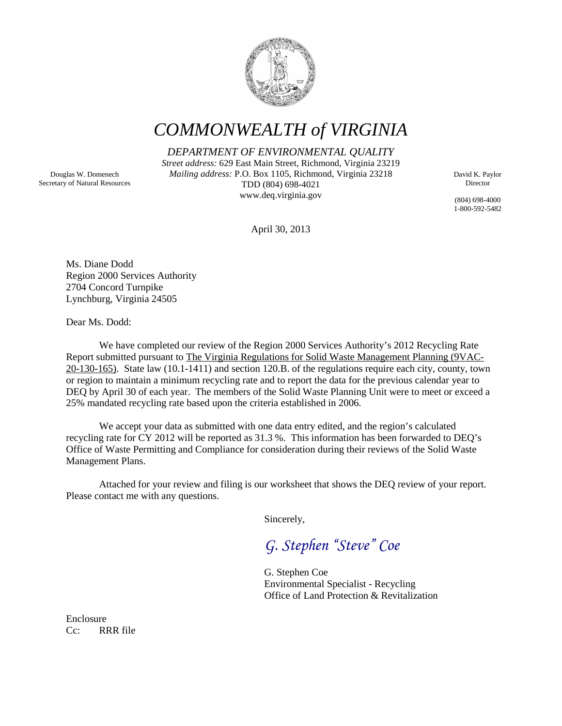

*COMMONWEALTH of VIRGINIA*

*DEPARTMENT OF ENVIRONMENTAL QUALITY*

*Street address:* 629 East Main Street, Richmond, Virginia 23219 *Mailing address:* P.O. Box 1105, Richmond, Virginia 23218 TDD (804) 698-4021 www.deq.virginia.gov

David K. Paylor Director

(804) 698-4000 1-800-592-5482

April 30, 2013

Ms. Diane Dodd Region 2000 Services Authority 2704 Concord Turnpike Lynchburg, Virginia 24505

Dear Ms. Dodd:

We have completed our review of the Region 2000 Services Authority's 2012 Recycling Rate Report submitted pursuant to The Virginia Regulations for Solid Waste Management Planning (9VAC-20-130-165). State law (10.1-1411) and section 120.B. of the regulations require each city, county, town or region to maintain a minimum recycling rate and to report the data for the previous calendar year to DEQ by April 30 of each year. The members of the Solid Waste Planning Unit were to meet or exceed a 25% mandated recycling rate based upon the criteria established in 2006.

We accept your data as submitted with one data entry edited, and the region's calculated recycling rate for CY 2012 will be reported as 31.3 %. This information has been forwarded to DEQ's Office of Waste Permitting and Compliance for consideration during their reviews of the Solid Waste Management Plans.

Attached for your review and filing is our worksheet that shows the DEQ review of your report. Please contact me with any questions.

Sincerely,

*G. Stephen "Steve" Coe*

G. Stephen Coe Environmental Specialist - Recycling Office of Land Protection & Revitalization

Enclosure Cc: RRR file

Douglas W. Domenech Secretary of Natural Resources